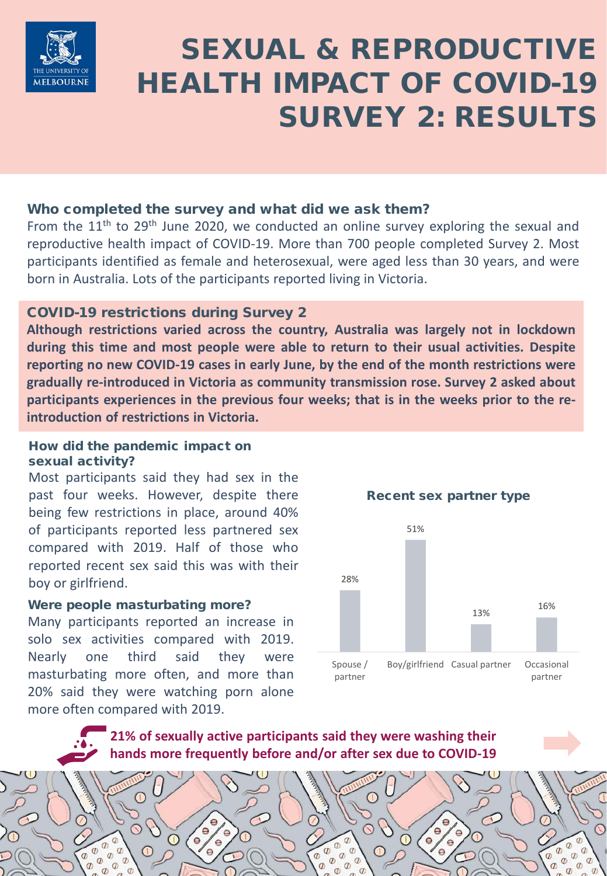

# SEXUAL & REPRODUCTIVE HEALTH IMPACT OF COVID-19 SURVEY 2: RESULTS

### Who completed the survey and what did we ask them?

From the  $11<sup>th</sup>$  to 29<sup>th</sup> June 2020, we conducted an online survey exploring the sexual and reproductive health impact of COVID-19. More than 700 people completed Survey 2. Most participants identified as female and heterosexual, were aged less than 30 years, and were born in Australia. Lots of the participants reported living in Victoria.

## COVID-19 restrictions during Survey 2

**Although restrictions varied across the country, Australia was largely not in lockdown during this time and most people were able to return to their usual activities. Despite reporting no new COVID-19 cases in early June, by the end of the month restrictions were gradually re-introduced in Victoria as community transmission rose. Survey 2 asked about participants experiences in the previous four weeks; that is in the weeks prior to the reintroduction of restrictions in Victoria.**

#### How did the pandemic impact on sexual activity?

Most participants said they had sex in the past four weeks. However, despite there being few restrictions in place, around 40% of participants reported less partnered sex compared with 2019. Half of those who reported recent sex said this was with their boy or girlfriend.

#### Were people masturbating more?

 $\bigcap$ 

∩

ίe

Many participants reported an increase in solo sex activities compared with 2019. Nearly one third said they were masturbating more often, and more than 20% said they were watching porn alone more often compared with 2019.



**21% of sexually active participants said they were washing their hands more frequently before and/or after sex due to COVID-19**

Œ

∩

 $\sigma$